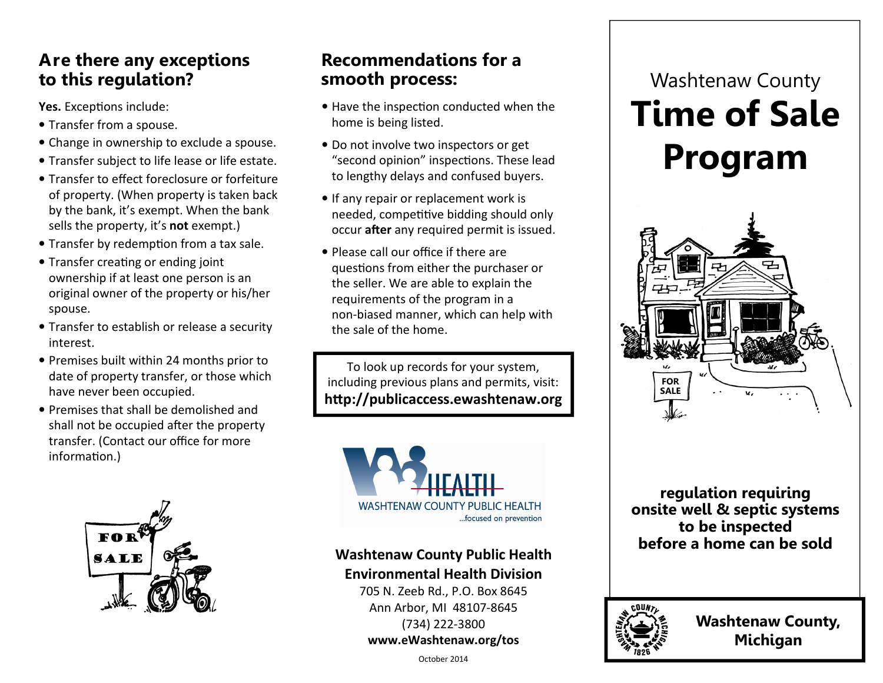### Are there any exceptions to this regulation?

Yes. Exceptions include:

- Transfer from a spouse.
- Change in ownership to exclude a spouse.
- Transfer subject to life lease or life estate.
- Transfer to effect foreclosure or forfeiture of property. (When property is taken back by the bank, it's exempt. When the bank sells the property, it's not exempt.)
- Transfer by redemption from a tax sale.
- Transfer creating or ending joint ownership if at least one person is an original owner of the property or his/her spouse.
- Transfer to establish or release a security interest.
- Premises built within 24 months prior to date of property transfer, or those which have never been occupied.
- Premises that shall be demolished and shall not be occupied after the property transfer. (Contact our office for more information.)



### Recommendations for a smooth process:

- $\bullet$  Have the inspection conducted when the home is being listed.
- Do not involve two inspectors or get "second opinion" inspections. These lead to lengthy delays and confused buyers.
- If any repair or replacement work is needed, competitive bidding should only occur after any required permit is issued.
- Please call our office if there are questions from either the purchaser or the seller. We are able to explain the requirements of the program in a non-biased manner, which can help with the sale of the home.

To look up records for your system, including previous plans and permits, visit:http://publicaccess.ewashtenaw.org



# Washtenaw County Public Health

Environmental Health Division 705 N. Zeeb Rd., P.O. Box 8645 Ann Arbor, MI 48107-8645 (734) 222-3800

#### www.eWashtenaw.org/tos

Washtenaw County Time of Sale Program



regulation requiring onsite well & septic systems to be inspected before a home can be sold



Washtenaw County, Michigan

October 2014